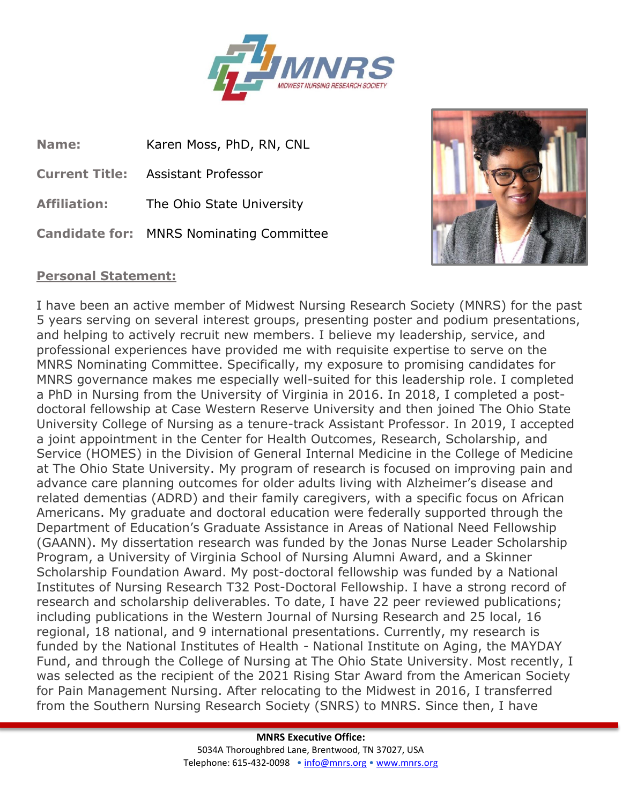

**Name:** Karen Moss, PhD, RN, CNL **Current Title:** Assistant Professor **Affiliation:** The Ohio State University **Candidate for:** MNRS Nominating Committee



## **Personal Statement:**

I have been an active member of Midwest Nursing Research Society (MNRS) for the past 5 years serving on several interest groups, presenting poster and podium presentations, and helping to actively recruit new members. I believe my leadership, service, and professional experiences have provided me with requisite expertise to serve on the MNRS Nominating Committee. Specifically, my exposure to promising candidates for MNRS governance makes me especially well-suited for this leadership role. I completed a PhD in Nursing from the University of Virginia in 2016. In 2018, I completed a postdoctoral fellowship at Case Western Reserve University and then joined The Ohio State University College of Nursing as a tenure-track Assistant Professor. In 2019, I accepted a joint appointment in the Center for Health Outcomes, Research, Scholarship, and Service (HOMES) in the Division of General Internal Medicine in the College of Medicine at The Ohio State University. My program of research is focused on improving pain and advance care planning outcomes for older adults living with Alzheimer's disease and related dementias (ADRD) and their family caregivers, with a specific focus on African Americans. My graduate and doctoral education were federally supported through the Department of Education's Graduate Assistance in Areas of National Need Fellowship (GAANN). My dissertation research was funded by the Jonas Nurse Leader Scholarship Program, a University of Virginia School of Nursing Alumni Award, and a Skinner Scholarship Foundation Award. My post-doctoral fellowship was funded by a National Institutes of Nursing Research T32 Post-Doctoral Fellowship. I have a strong record of research and scholarship deliverables. To date, I have 22 peer reviewed publications; including publications in the Western Journal of Nursing Research and 25 local, 16 regional, 18 national, and 9 international presentations. Currently, my research is funded by the National Institutes of Health - National Institute on Aging, the MAYDAY Fund, and through the College of Nursing at The Ohio State University. Most recently, I was selected as the recipient of the 2021 Rising Star Award from the American Society for Pain Management Nursing. After relocating to the Midwest in 2016, I transferred from the Southern Nursing Research Society (SNRS) to MNRS. Since then, I have